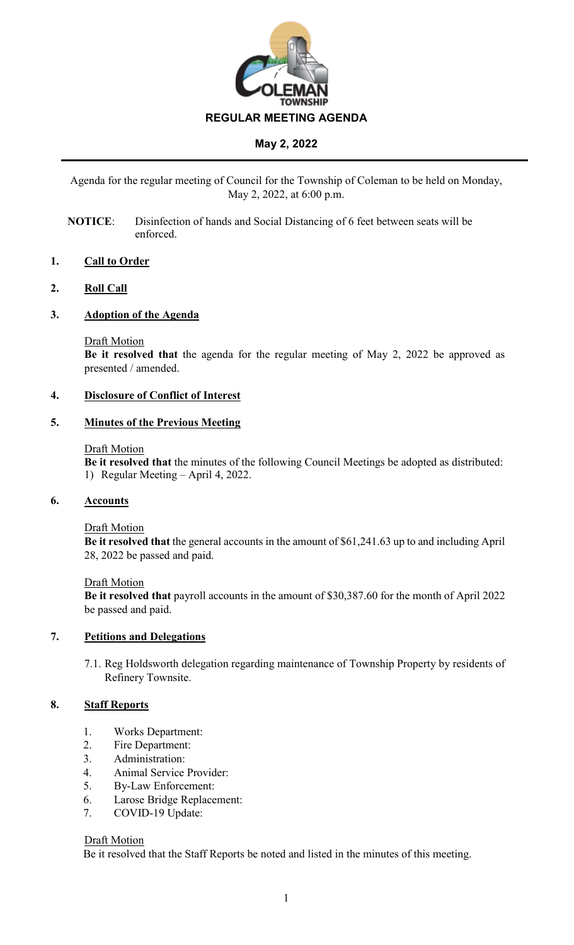

Agenda for the regular meeting of Council for the Township of Coleman to be held on Monday, May 2, 2022, at 6:00 p.m.

**NOTICE**: Disinfection of hands and Social Distancing of 6 feet between seats will be enforced.

## **1. Call to Order**

## **2. Roll Call**

## **3. Adoption of the Agenda**

#### Draft Motion

**Be it resolved that** the agenda for the regular meeting of May 2, 2022 be approved as presented / amended.

## **4. Disclosure of Conflict of Interest**

## **5. Minutes of the Previous Meeting**

#### Draft Motion

**Be it resolved that** the minutes of the following Council Meetings be adopted as distributed: 1) Regular Meeting – April 4, 2022.

## **6. Accounts**

## Draft Motion

**Be it resolved that** the general accounts in the amount of \$61,241.63 up to and including April 28, 2022 be passed and paid.

## Draft Motion

**Be it resolved that** payroll accounts in the amount of \$30,387.60 for the month of April 2022 be passed and paid.

## **7. Petitions and Delegations**

7.1. Reg Holdsworth delegation regarding maintenance of Township Property by residents of Refinery Townsite.

## **8. Staff Reports**

- 1. Works Department:
- 2. Fire Department:
- 3. Administration:
- 4. Animal Service Provider:
- 5. By-Law Enforcement:
- 6. Larose Bridge Replacement:
- 7. COVID-19 Update:

## Draft Motion

Be it resolved that the Staff Reports be noted and listed in the minutes of this meeting.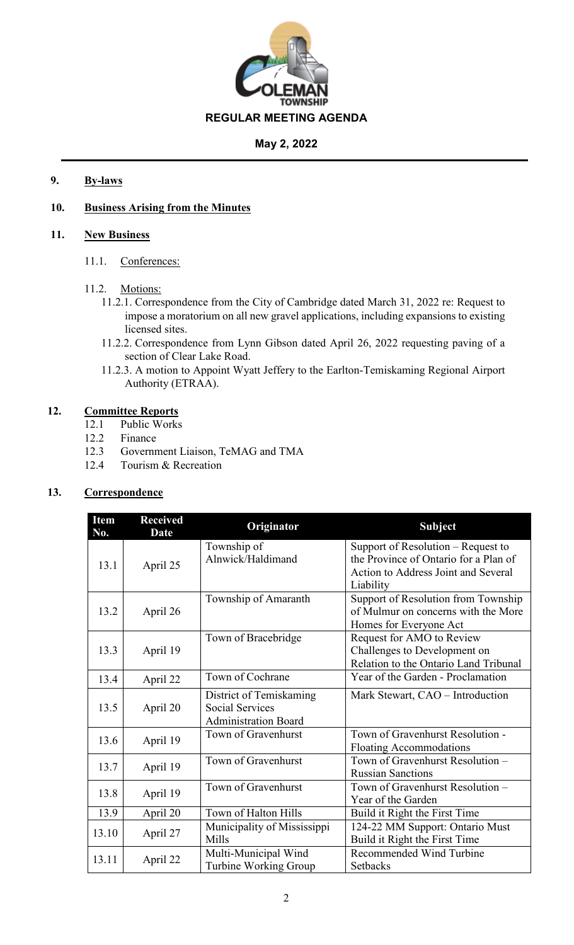

## **9. By-laws**

## **10. Business Arising from the Minutes**

## **11. New Business**

11.1. Conferences:

## 11.2. Motions:

- 11.2.1. Correspondence from the City of Cambridge dated March 31, 2022 re: Request to impose a moratorium on all new gravel applications, including expansions to existing licensed sites.
- 11.2.2. Correspondence from Lynn Gibson dated April 26, 2022 requesting paving of a section of Clear Lake Road.
- 11.2.3. A motion to Appoint Wyatt Jeffery to the Earlton-Temiskaming Regional Airport Authority (ETRAA).

## **12. Committee Reports**

- 12.1 Public Works
- 12.2 Finance
- 12.3 Government Liaison, TeMAG and TMA
- 12.4 Tourism & Recreation

## **13. Correspondence**

| <b>Item</b><br>No. | <b>Received</b><br><b>Date</b> | Originator                                                                       | <b>Subject</b>                                                                                                                  |
|--------------------|--------------------------------|----------------------------------------------------------------------------------|---------------------------------------------------------------------------------------------------------------------------------|
| 13.1               | April 25                       | Township of<br>Alnwick/Haldimand                                                 | Support of Resolution – Request to<br>the Province of Ontario for a Plan of<br>Action to Address Joint and Several<br>Liability |
| 13.2               | April 26                       | Township of Amaranth                                                             | Support of Resolution from Township<br>of Mulmur on concerns with the More<br>Homes for Everyone Act                            |
| 13.3               | April 19                       | Town of Bracebridge                                                              | Request for AMO to Review<br>Challenges to Development on<br>Relation to the Ontario Land Tribunal                              |
| 13.4               | April 22                       | Town of Cochrane                                                                 | Year of the Garden - Proclamation                                                                                               |
| 13.5               | April 20                       | District of Temiskaming<br><b>Social Services</b><br><b>Administration Board</b> | Mark Stewart, CAO - Introduction                                                                                                |
| 13.6               | April 19                       | Town of Gravenhurst                                                              | Town of Gravenhurst Resolution -<br><b>Floating Accommodations</b>                                                              |
| 13.7               | April 19                       | Town of Gravenhurst                                                              | Town of Gravenhurst Resolution -<br><b>Russian Sanctions</b>                                                                    |
| 13.8               | April 19                       | Town of Gravenhurst                                                              | Town of Gravenhurst Resolution -<br>Year of the Garden                                                                          |
| 13.9               | April 20                       | Town of Halton Hills                                                             | Build it Right the First Time                                                                                                   |
| 13.10              | April 27                       | Municipality of Mississippi<br>Mills                                             | 124-22 MM Support: Ontario Must<br>Build it Right the First Time                                                                |
| 13.11              | April 22                       | Multi-Municipal Wind<br>Turbine Working Group                                    | Recommended Wind Turbine<br>Setbacks                                                                                            |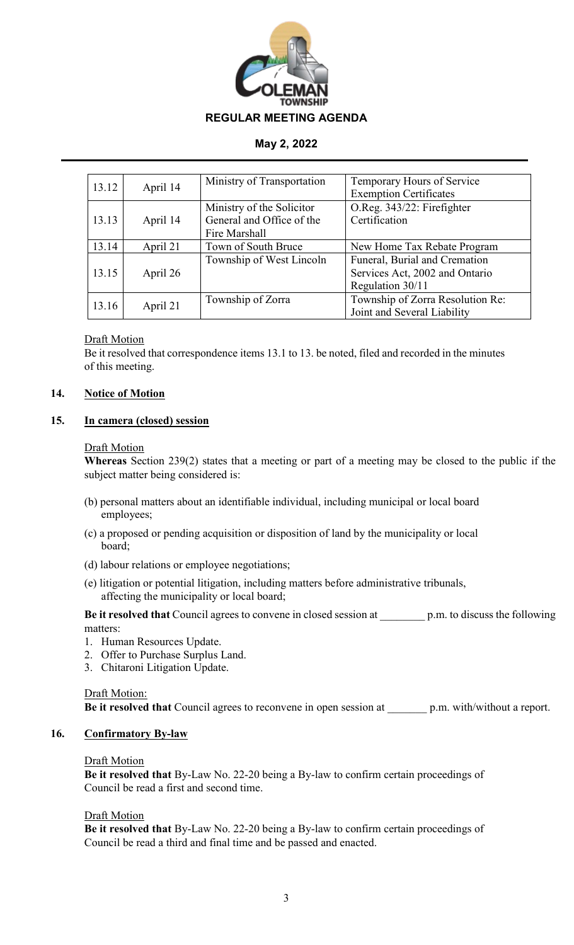

| 13.12 | April 14 | Ministry of Transportation | Temporary Hours of Service       |
|-------|----------|----------------------------|----------------------------------|
|       |          |                            | <b>Exemption Certificates</b>    |
|       |          | Ministry of the Solicitor  | O.Reg. 343/22: Firefighter       |
| 13.13 | April 14 | General and Office of the  | Certification                    |
|       |          | Fire Marshall              |                                  |
| 13.14 | April 21 | Town of South Bruce        | New Home Tax Rebate Program      |
|       |          | Township of West Lincoln   | Funeral, Burial and Cremation    |
| 13.15 | April 26 |                            | Services Act, 2002 and Ontario   |
|       |          |                            | Regulation 30/11                 |
| 13.16 | April 21 | Township of Zorra          | Township of Zorra Resolution Re: |
|       |          |                            | Joint and Several Liability      |

## Draft Motion

Be it resolved that correspondence items 13.1 to 13. be noted, filed and recorded in the minutes of this meeting.

## **14. Notice of Motion**

## **15. In camera (closed) session**

#### Draft Motion

**Whereas** Section 239(2) states that a meeting or part of a meeting may be closed to the public if the subject matter being considered is:

- (b) personal matters about an identifiable individual, including municipal or local board employees;
- (c) a proposed or pending acquisition or disposition of land by the municipality or local board;
- (d) labour relations or employee negotiations;
- (e) litigation or potential litigation, including matters before administrative tribunals, affecting the municipality or local board;

**Be it resolved that** Council agrees to convene in closed session at \_\_\_\_\_\_\_\_ p.m. to discuss the following matters:

- 1. Human Resources Update.
- 2. Offer to Purchase Surplus Land.
- 3. Chitaroni Litigation Update.

## Draft Motion:

**Be it resolved that** Council agrees to reconvene in open session at \_\_\_\_\_\_\_ p.m. with/without a report.

## **16. Confirmatory By-law**

## Draft Motion

**Be it resolved that** By-Law No. 22-20 being a By-law to confirm certain proceedings of Council be read a first and second time.

## Draft Motion

**Be it resolved that** By-Law No. 22-20 being a By-law to confirm certain proceedings of Council be read a third and final time and be passed and enacted.